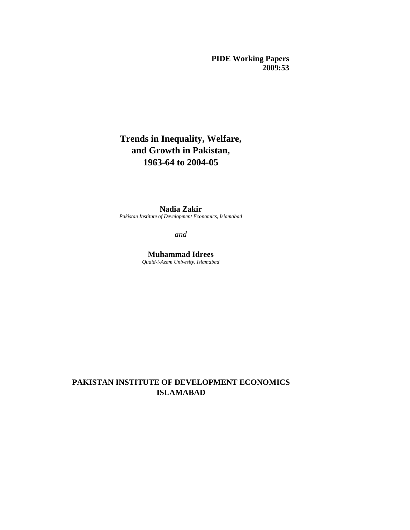**PIDE Working Papers 2009:53**

# **Trends in Inequality, Welfare, and Growth in Pakistan, 1963-64 to 2004-05**

## **Nadia Zakir**

*Pakistan Institute of Development Economics, Islamabad*

*and*

**Muhammad Idrees** *Quaid-i-Azam Univesity, Islamabad*

## **PAKISTAN INSTITUTE OF DEVELOPMENT ECONOMICS ISLAMABAD**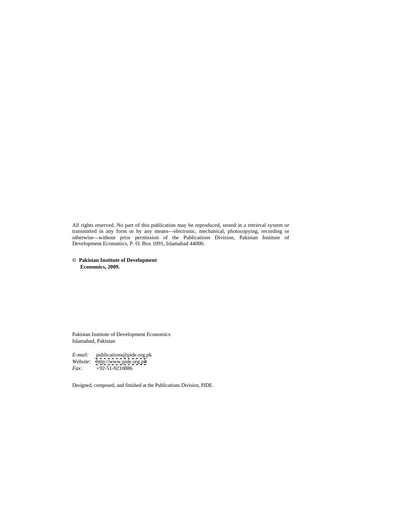All rights reserved. No part of this publication may be reproduced, stored in a retrieval system or transmitted in any form or by any means—electronic, mechanical, photocopying, recording or otherwise—without prior permission of the Publications Division, Pakistan Institute of Development Economics, P. O. Box 1091, Islamabad 44000.

**© Pakistan Institute of Development Economics, 2009.**

Pakistan Institute of Development Economics Islamabad, Pakistan

*E-mail:* publications@pide.org.pk<br>Website: http://www.pide.org.pk *Website:* <http://www.pide.org.pk> *Fax:* +92-51-9210886

Designed, composed, and finished at the Publications Division, PIDE.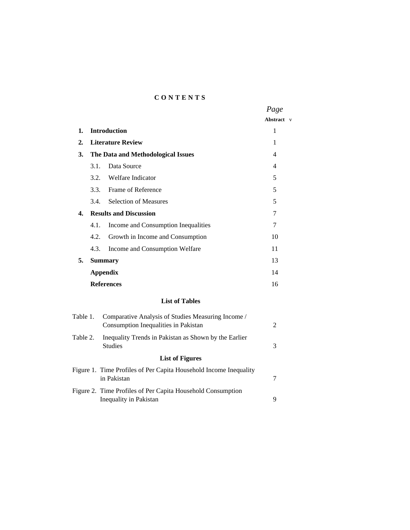#### **C O N T E N T S**

|                                          | Page        |  |
|------------------------------------------|-------------|--|
|                                          | Abstract v  |  |
| 1. Introduction                          |             |  |
| 2. Literature Review                     |             |  |
| 3. The Data and Methodological Issues    |             |  |
| 3.1. Data Source                         |             |  |
| 3.2. Welfare Indicator                   |             |  |
| 3.3. Frame of Reference                  |             |  |
| 3.4. Selection of Measures               |             |  |
| <b>Results and Discussion</b><br>4.      |             |  |
| 4.1. Income and Consumption Inequalities |             |  |
| 4.2. Growth in Income and Consumption    | 10          |  |
| 4.3. Income and Consumption Welfare      |             |  |
| 5. Summary                               | $1^{\circ}$ |  |
| <b>Appendix</b>                          |             |  |
| <b>References</b>                        | 16          |  |
|                                          |             |  |

#### **List of Tables**

| Table 1. | Comparative Analysis of Studies Measuring Income /                |  |
|----------|-------------------------------------------------------------------|--|
|          | Consumption Inequalities in Pakistan                              |  |
|          | Table 2. Inequality Trends in Pakistan as Shown by the Earlier    |  |
|          | Studies                                                           |  |
|          | <b>List of Figures</b>                                            |  |
|          | Figure 1. Time Profiles of Per Capita Household Income Inequality |  |
|          | in Pakistan                                                       |  |
|          | Figure 2. Time Profiles of Per Capita Household Consumption       |  |
|          | Inequality in Pakistan                                            |  |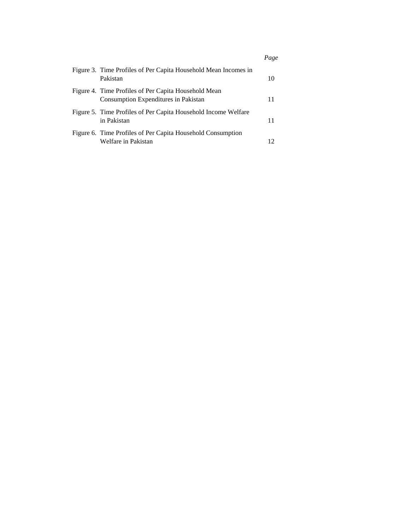|                                                                                              | Page |
|----------------------------------------------------------------------------------------------|------|
| Figure 3. Time Profiles of Per Capita Household Mean Incomes in<br>Pakistan                  |      |
| Figure 4. Time Profiles of Per Capita Household Mean<br>Consumption Expenditures in Pakistan |      |
| Figure 5. Time Profiles of Per Capita Household Income Welfare<br>in Pakistan                |      |
| Figure 6. Time Profiles of Per Capita Household Consumption<br>Welfare in Pakistan           |      |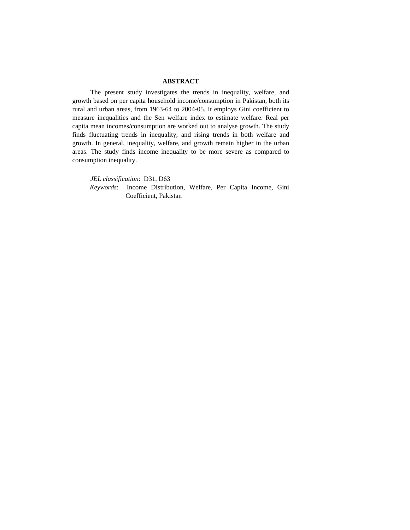#### **ABSTRACT**

The present study investigates the trends in inequality, welfare, and growth based on per capita household income/consumption in Pakistan, both its rural and urban areas, from 1963-64 to 2004-05. It employs Gini coefficient to measure inequalities and the Sen welfare index to estimate welfare. Real per capita mean incomes/consumption are worked out to analyse growth. The study finds fluctuating trends in inequality, and rising trends in both welfare and growth. In general, inequality, welfare, and growth remain higher in the urban areas. The study finds income inequality to be more severe as compared to consumption inequality.

*JEL classification*: D31, D63

*Keywords*: Income Distribution, Welfare, Per Capita Income, Gini Coefficient, Pakistan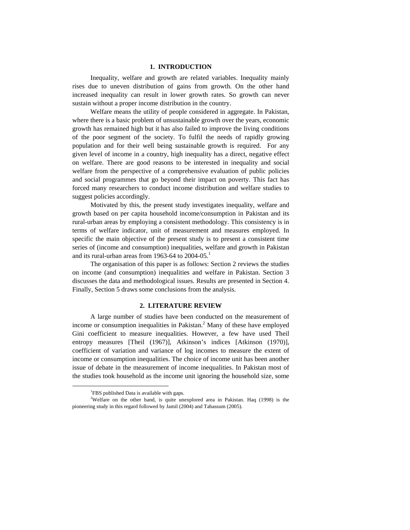#### **1. INTRODUCTION**

Inequality, welfare and growth are related variables. Inequality mainly rises due to uneven distribution of gains from growth. On the other hand increased inequality can result in lower growth rates. So growth can never sustain without a proper income distribution in the country.

Welfare means the utility of people considered in aggregate. In Pakistan, where there is a basic problem of unsustainable growth over the years, economic growth has remained high but it has also failed to improve the living conditions of the poor segment of the society. To fulfil the needs of rapidly growing population and for their well being sustainable growth is required. For any given level of income in a country, high inequality has a direct, negative effect on welfare. There are good reasons to be interested in inequality and social welfare from the perspective of a comprehensive evaluation of public policies and social programmes that go beyond their impact on poverty. This fact has forced many researchers to conduct income distribution and welfare studies to suggest policies accordingly.

Motivated by this, the present study investigates inequality, welfare and growth based on per capita household income/consumption in Pakistan and its rural-urban areas by employing a consistent methodology. This consistency is in terms of welfare indicator, unit of measurement and measures employed. In specific the main objective of the present study is to present a consistent time series of (income and consumption) inequalities, welfare and growth in Pakistan and its rural-urban areas from 1963-64 to  $2004-05$ <sup>1</sup>

The organisation of this paper is as follows: Section 2 reviews the studies on income (and consumption) inequalities and welfare in Pakistan. Section 3 discusses the data and methodological issues. Results are presented in Section 4. Finally, Section 5 draws some conclusions from the analysis.

#### **2. LITERATURE REVIEW**

A large number of studies have been conducted on the measurement of income or consumption inequalities in Pakistan. $<sup>2</sup>$  Many of these have employed</sup> Gini coefficient to measure inequalities. However, a few have used Theil entropy measures [Theil (1967)], Atkinson's indices [Atkinson (1970)], coefficient of variation and variance of log incomes to measure the extent of income or consumption inequalities. The choice of income unit has been another issue of debate in the measurement of income inequalities. In Pakistan most of the studies took household as the income unit ignoring the household size, some

<sup>&</sup>lt;sup>1</sup>FBS published Data is available with gaps.

<sup>&</sup>lt;sup>2</sup>Welfare on the other hand, is quite unexplored area in Pakistan. Haq (1998) is the pioneering study in this regard followed by Jamil (2004) and Tabassum (2005).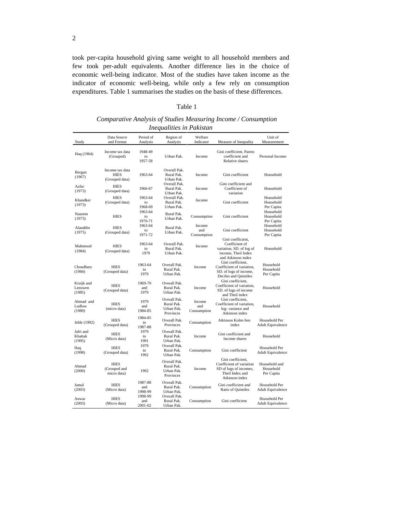took per-capita household giving same weight to all household members and few took per-adult equivalents. Another difference lies in the choice of economic well-being indicator. Most of the studies have taken income as the indicator of economic well-being, while only a few rely on consumption expenditures. Table 1 summarises the studies on the basis of these differences.

#### Table 1

*Comparative Analysis of Studies Measuring Income / Consumption Inequalities in Pakistan*

| Study<br>$\overline{\phantom{a}}$ | Data Source<br>and Format                        | Period of<br>Analysis               | Region of<br>Analysis                                    | Welfare                      | Indicator Measure of Inequality Measurement                                                                                | Unit of                                   |
|-----------------------------------|--------------------------------------------------|-------------------------------------|----------------------------------------------------------|------------------------------|----------------------------------------------------------------------------------------------------------------------------|-------------------------------------------|
| Haq (1964)                        | Income tax data<br>(Grouped)                     | 1948-49<br>to<br>1957-58            | Urban Pak.                                               | Income                       | Gini coefficient, Pareto<br>coefficient and<br>Relative shares                                                             | Personal Income                           |
| Bergan<br>(1967)                  | Income tax data<br><b>HIES</b><br>(Grouped data) | 1963-64                             | Overall Pak.<br>Rural Pak.<br>Urban Pak.<br>Overall Pak. | Income                       | Gini coefficient<br>Gini coefficient and                                                                                   | Household                                 |
| Azfar<br>(1973)                   | HIES<br>(Grouped data)                           | 1966-67                             | Rural Pak.<br>Urban Pak.                                 | Income                       | Coefficient of<br>variation                                                                                                | Household                                 |
| Khandker<br>(1973)                | <b>HIES</b><br>(Grouped data)                    | 1963-64<br>to<br>1968-69<br>1963-64 | Overall Pak.<br>Rural Pak.<br>Urban Pak.                 | Income                       | Gini coefficient                                                                                                           | Household<br>Household<br>Per Capita      |
| Naseem<br>(1973)                  | <b>HIES</b>                                      | to<br>1970-71                       | Rural Pak.<br>Urban Pak.                                 | Consumption                  | Gini coefficient                                                                                                           | Household<br>Household<br>Per Capita      |
| Alauddin<br>(1975)                | HIES<br>(Grouped data)                           | 1963-64<br>to<br>1971-72            | Rural Pak.<br>Urban Pak.                                 | Income<br>and<br>Consumption | Gini coefficient                                                                                                           | Household<br>Household<br>Per Capita      |
| Mahmood<br>(1984)                 | <b>HIES</b><br>(Grouped data)                    | 1963-64<br>to<br>1979               | Overall Pak.<br>Rural Pak.<br>Urban Pak.                 | Income                       | Gini coefficient,<br>Coefficient of<br>variation, SD. of log of<br>income, Theil Index<br>and Atkinson index               | Household                                 |
| Choudhary<br>(1984)               | <b>HIES</b><br>(Grouped data)                    | 1963-64<br>to<br>1979               | Overall Pak.<br>Rural Pak.<br>Urban Pak.                 | Income                       | Gini coefficient,<br>Coefficient of variation,<br>SD. of logs of income,<br>Deciles and Quintiles                          | Household<br>Household<br>Per Capita      |
| Kruijk and<br>Leeuwen<br>$(1985)$ | <b>HIES</b><br>(Grouped data)                    | 1969-70<br>and<br>1979              | Overall Pak.<br>Rural Pak.<br>Urban Pak.                 | Income                       | Gini coefficient,<br>Coefficient of variation,<br>SD. of logs of income<br>and Theil index                                 | Household                                 |
| Ahmad and<br>Ludlow<br>(1989)     | <b>HIES</b><br>(micro data)                      | 1979<br>and<br>1984-85              | Overall Pak.<br>Rural Pak.<br>Urban Pak.<br>Provinces    | Income<br>and<br>Consumption | Gini coefficient,<br>Coefficient of variation,<br>log-variance and<br>Atkinson index                                       | Household                                 |
| Jehle (1992)                      | <b>HIES</b><br>(Grouped data)                    | 1984-85<br>to<br>1987-88            | Overall Pak.<br>Provinces                                | Consumption                  | Atkinson Kolm-Sen<br>index                                                                                                 | Household Per<br>Adult Equivalence        |
| Jafri and<br>Khattak<br>(1995)    | <b>HIES</b><br>(Micro data)                      | 1979<br>to<br>1991                  | Overall Pak.<br>Rural Pak.<br>Urban Pak.                 | Income                       | Gini coefficient and<br>Income shares                                                                                      | Household                                 |
| Haq<br>(1998)                     | <b>HIES</b><br>(Grouped data)                    | 1979<br>to<br>1992                  | Overall Pak.<br>Rural Pak.<br>Urban Pak.                 | Consumption                  | Gini coefficient                                                                                                           | Household Per<br>Adult Equivalence        |
| Ahmad<br>(2000)                   | <b>HIES</b><br>(Grouped and<br>micro data)       | 1992                                | Overall Pak.<br>Rural Pak.<br>Urban Pak.<br>Provinces    | Income                       | Gini coefficient,<br>Coefficient of variation Household and<br>SD of logs of incomes,<br>Theil Index and<br>Atkinson index | Household<br>Per Capita                   |
| Jamal<br>$(2003)$                 | <b>HIES</b><br>(Micro data)                      | 1987-88<br>and<br>1998-99           | Overall Pak.<br>Rural Pak.<br>Urban Pak.                 | Consumption                  | Gini coefficient and<br>Ratio of Quintiles Adult Equivalence                                                               | Household Per                             |
| Anwar<br>(2003)                   | <b>HIES</b><br>(Micro data)                      | 1998-99<br>and<br>2001-02           | Overall Pak.<br>Rural Pak.<br>Urban Pak.                 | Consumption                  | Gini coefficient                                                                                                           | Household Per<br><b>Adult Equivalence</b> |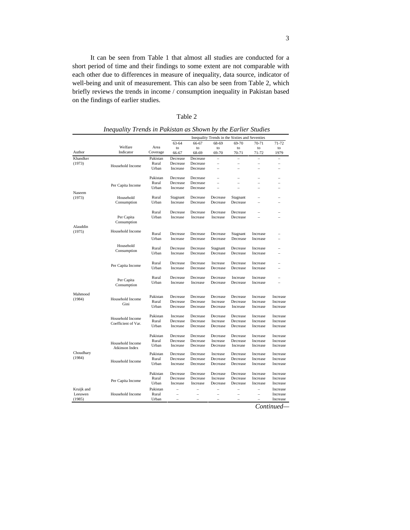It can be seen from Table 1 that almost all studies are conducted for a short period of time and their findings to some extent are not comparable with each other due to differences in measure of inequality, data source, indicator of well-being and unit of measurement. This can also be seen from Table 2, which briefly reviews the trends in income / consumption inequality in Pakistan based on the findings of earlier studies.

| ---<br>Table 2 |  |  |  |
|----------------|--|--|--|
|----------------|--|--|--|

|                   |                     |                                                                                            |    | Inequality Trends in the Sixties and Seventies     |  |                                                                                                                                                                                                                                                                                                                                                     |  |
|-------------------|---------------------|--------------------------------------------------------------------------------------------|----|----------------------------------------------------|--|-----------------------------------------------------------------------------------------------------------------------------------------------------------------------------------------------------------------------------------------------------------------------------------------------------------------------------------------------------|--|
|                   |                     |                                                                                            |    |                                                    |  | 63-64 66-67 68-69 69-70 70-71 71-72                                                                                                                                                                                                                                                                                                                 |  |
|                   | Welfare             | Area                                                                                       | to | to to to to to                                     |  | to                                                                                                                                                                                                                                                                                                                                                  |  |
| Author            | Indicator           | Coverage 66-67 68-69 69-70 70-71 71-72 1979                                                |    |                                                    |  |                                                                                                                                                                                                                                                                                                                                                     |  |
| _____<br>Khandker |                     | Pakistan Decrease Decrease $   -$                                                          |    |                                                    |  |                                                                                                                                                                                                                                                                                                                                                     |  |
| (1973)            | Household Income    |                                                                                            |    |                                                    |  | Rural Decrease Decrease – – – – –                                                                                                                                                                                                                                                                                                                   |  |
|                   |                     |                                                                                            |    |                                                    |  | Urban Increase Decrease - - - - -                                                                                                                                                                                                                                                                                                                   |  |
|                   |                     |                                                                                            |    |                                                    |  |                                                                                                                                                                                                                                                                                                                                                     |  |
|                   |                     | Pakistan Decrease Decrease - - - - -                                                       |    |                                                    |  |                                                                                                                                                                                                                                                                                                                                                     |  |
|                   | Per Capita Income   |                                                                                            |    | Rural Decrease Decrease                            |  | the control of the control of the control of                                                                                                                                                                                                                                                                                                        |  |
|                   |                     | Urban                                                                                      |    | Increase Decrease                                  |  |                                                                                                                                                                                                                                                                                                                                                     |  |
| Naseem<br>(1973)  |                     |                                                                                            |    |                                                    |  |                                                                                                                                                                                                                                                                                                                                                     |  |
|                   | Household           | Rural Stagnant Decrease Decrease Stagnant – –<br>Urban Increase Decrease Decrease Decrease |    |                                                    |  |                                                                                                                                                                                                                                                                                                                                                     |  |
|                   | Consumption         |                                                                                            |    |                                                    |  | the second company of the second                                                                                                                                                                                                                                                                                                                    |  |
|                   |                     |                                                                                            |    |                                                    |  | Rural Decrease Decrease Decrease Decrease – –                                                                                                                                                                                                                                                                                                       |  |
|                   | Per Capita          |                                                                                            |    |                                                    |  | Urban Increase Increase Increase Decrease – –                                                                                                                                                                                                                                                                                                       |  |
|                   | Consumption         |                                                                                            |    |                                                    |  |                                                                                                                                                                                                                                                                                                                                                     |  |
| Alauddin          |                     |                                                                                            |    |                                                    |  |                                                                                                                                                                                                                                                                                                                                                     |  |
| (1975)            | Household Income    |                                                                                            |    | Rural Decrease Decrease Decrease Stagnant Increase |  | $\sim$ $-$                                                                                                                                                                                                                                                                                                                                          |  |
|                   |                     | Urban Increase Decrease Decrease Decrease Increase                                         |    |                                                    |  | $\sim$ $-$                                                                                                                                                                                                                                                                                                                                          |  |
|                   |                     |                                                                                            |    |                                                    |  |                                                                                                                                                                                                                                                                                                                                                     |  |
|                   | Household           |                                                                                            |    | Rural Decrease Decrease Stagnant Decrease Increase |  | $\sim$ $-$                                                                                                                                                                                                                                                                                                                                          |  |
|                   | Consumption         |                                                                                            |    | Urban Increase Decrease Decrease Decrease Increase |  |                                                                                                                                                                                                                                                                                                                                                     |  |
|                   |                     |                                                                                            |    |                                                    |  |                                                                                                                                                                                                                                                                                                                                                     |  |
|                   |                     |                                                                                            |    | Rural Decrease Decrease Increase Decrease Increase |  |                                                                                                                                                                                                                                                                                                                                                     |  |
|                   | Per Capita Income   |                                                                                            |    | Urban Increase Decrease Decrease Decrease Increase |  | $\sim$                                                                                                                                                                                                                                                                                                                                              |  |
|                   |                     |                                                                                            |    |                                                    |  |                                                                                                                                                                                                                                                                                                                                                     |  |
|                   | Per Capita          |                                                                                            |    | Rural Decrease Decrease Decrease Increase Increase |  | <b>Contract Contract</b>                                                                                                                                                                                                                                                                                                                            |  |
|                   | Consumption         |                                                                                            |    | Urban Increase Increase Decrease Decrease Increase |  | <b>Contract Contract</b>                                                                                                                                                                                                                                                                                                                            |  |
|                   |                     |                                                                                            |    |                                                    |  |                                                                                                                                                                                                                                                                                                                                                     |  |
| Mahmood           |                     | Pakistan Decrease Decrease Decrease Decrease Increase Increase                             |    |                                                    |  |                                                                                                                                                                                                                                                                                                                                                     |  |
| (1984)            | Household Income    |                                                                                            |    |                                                    |  | Rural Decrease Decrease Increase Decrease Increase Increase                                                                                                                                                                                                                                                                                         |  |
|                   | Gini                | Urban Decrease Decrease Decrease Increase Increase Increase                                |    |                                                    |  |                                                                                                                                                                                                                                                                                                                                                     |  |
|                   |                     |                                                                                            |    |                                                    |  |                                                                                                                                                                                                                                                                                                                                                     |  |
|                   |                     | Pakistan Increase Decrease Decrease Decrease Increase Increase                             |    |                                                    |  |                                                                                                                                                                                                                                                                                                                                                     |  |
|                   | Household Income    |                                                                                            |    |                                                    |  | Rural Decrease Decrease Increase Decrease Increase Increase                                                                                                                                                                                                                                                                                         |  |
|                   | Coefficient of Var. | Urban Increase Decrease Decrease Decrease Increase Increase                                |    |                                                    |  |                                                                                                                                                                                                                                                                                                                                                     |  |
|                   |                     |                                                                                            |    |                                                    |  |                                                                                                                                                                                                                                                                                                                                                     |  |
|                   |                     | Pakistan Decrease Decrease Decrease Decrease Increase Increase                             |    |                                                    |  |                                                                                                                                                                                                                                                                                                                                                     |  |
|                   | Household Income    |                                                                                            |    |                                                    |  | Rural Decrease Decrease Increase Decrease Increase Increase                                                                                                                                                                                                                                                                                         |  |
|                   | Atkinson Index      |                                                                                            |    |                                                    |  | Urban Increase Decrease Decrease Increase Increase Increase                                                                                                                                                                                                                                                                                         |  |
| Choudhary         |                     | Pakistan Decrease Decrease Increase Decrease Increase Increase                             |    |                                                    |  |                                                                                                                                                                                                                                                                                                                                                     |  |
| (1984)            |                     |                                                                                            |    |                                                    |  | Rural Decrease Decrease Decrease Decrease Increase Increase                                                                                                                                                                                                                                                                                         |  |
|                   | Household Income    |                                                                                            |    |                                                    |  | Urban Increase Decrease Decrease Decrease Increase Increase                                                                                                                                                                                                                                                                                         |  |
|                   |                     |                                                                                            |    |                                                    |  |                                                                                                                                                                                                                                                                                                                                                     |  |
|                   |                     | Pakistan Decrease Decrease Decrease Decrease Increase Increase                             |    |                                                    |  |                                                                                                                                                                                                                                                                                                                                                     |  |
|                   |                     |                                                                                            |    |                                                    |  | Rural Decrease Decrease Increase Decrease Increase Increase                                                                                                                                                                                                                                                                                         |  |
|                   | Per Capita Income   |                                                                                            |    |                                                    |  | Urban Increase Increase Decrease Decrease Increase Increase                                                                                                                                                                                                                                                                                         |  |
| Kruijk and        |                     | Pakistan                                                                                   |    |                                                    |  | $\overline{a}$ = $\overline{a}$ = $\overline{a}$ = $\overline{a}$ = $\overline{a}$ = $\overline{a}$ = $\overline{a}$ = $\overline{a}$ = $\overline{a}$ = $\overline{a}$ = $\overline{a}$ = $\overline{a}$ = $\overline{a}$ = $\overline{a}$ = $\overline{a}$ = $\overline{a}$ = $\overline{a}$ = $\overline{a}$ = $\overline{a}$ = $\overline{a}$ = |  |
| Leeuwen           | Household Income    | Rural                                                                                      |    |                                                    |  | $\frac{1}{2}$ $\frac{1}{2}$ $\frac{1}{2}$ $\frac{1}{2}$ $\frac{1}{2}$ $\frac{1}{2}$ $\frac{1}{2}$ $\frac{1}{2}$ $\frac{1}{2}$ $\frac{1}{2}$ $\frac{1}{2}$ $\frac{1}{2}$ $\frac{1}{2}$ $\frac{1}{2}$ $\frac{1}{2}$ $\frac{1}{2}$ $\frac{1}{2}$ $\frac{1}{2}$ $\frac{1}{2}$ $\frac{1}{2}$ $\frac{1}{2}$ $\frac{1}{2}$                                 |  |
| (1985)            |                     | Urban $      -$ Increase                                                                   |    |                                                    |  |                                                                                                                                                                                                                                                                                                                                                     |  |
| $\sim$            |                     |                                                                                            |    |                                                    |  | $\alpha$ $\beta$ $\beta$                                                                                                                                                                                                                                                                                                                            |  |

| $\ldots$ 1 akistan as Shown by the $\Gamma$<br>.<br>v Trends in Po'<br><i>Inequality</i><br>---- | e Earlier Studies |  |  |
|--------------------------------------------------------------------------------------------------|-------------------|--|--|
|                                                                                                  |                   |  |  |

*Continued—*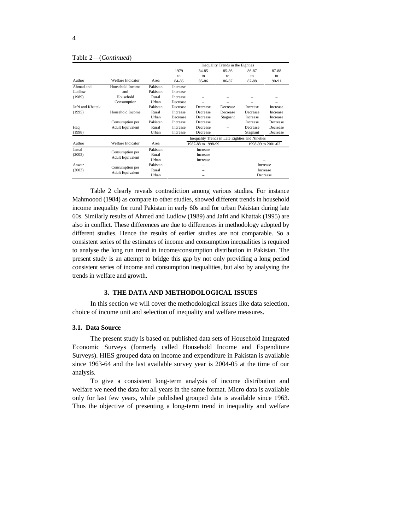|                   |                                     |          |          |                                                 | Inequality Trends in the Eighties |                      |                   |
|-------------------|-------------------------------------|----------|----------|-------------------------------------------------|-----------------------------------|----------------------|-------------------|
|                   |                                     |          | 1979     | 84-85                                           | 85-86                             | 86-87                | 87-88             |
|                   |                                     |          |          |                                                 |                                   |                      |                   |
| Author            | Welfare Indicator                   | Area     | 84-85    | 85-86                                           | 86-87                             | 87-88                | 90-91             |
| Ahmad and         | Household Income                    | Pakistan | Increase |                                                 |                                   |                      | $\sim$            |
| Ludlow            | and                                 | Pakistan | Increase |                                                 |                                   | $\sim$               |                   |
| (1989)            | Household                           | Rural    | Increase |                                                 |                                   |                      |                   |
|                   | Consumption                         | Urban    | Decrease |                                                 |                                   |                      |                   |
| Jafri and Khattak |                                     | Pakistan | Decrease | Decrease                                        | Decrease                          | Increase             | Increase          |
| (1995)            | Household Income                    | Rural    | Increase | Decrease                                        | Decrease                          | Decrease             | Increase          |
|                   |                                     | Urban    | Decrease | Decrease                                        | Stagnant                          | Increase             | Increase          |
|                   | Consumption per                     | Pakistan | Increase | Decrease                                        |                                   | Increase             | Decrease          |
| Haq               | Adult Equivalent                    | Rural    | Increase | Decrease                                        |                                   | Decrease             | Decrease          |
| (1998)            |                                     | Urban    | Increase | Decrease                                        |                                   |                      | Stagnant Decrease |
|                   |                                     |          |          | Inequality Trends in Late Eighties and Nineties |                                   |                      |                   |
| Author            | Welfare Indicator Area              |          |          | 1987-88 to 1998-99                              |                                   | 1998-99 to 2001-02   |                   |
|                   |                                     | Pakistan |          | Increase                                        |                                   |                      |                   |
| Jamal<br>(2003)   |                                     | Rural    |          | Increase                                        |                                   |                      |                   |
|                   | Consumption per<br>Adult Equivalent | Urban    |          | Increase                                        |                                   |                      | $\sim$ $\sim$     |
|                   |                                     | Pakistan |          |                                                 |                                   |                      |                   |
| Anwar<br>$(2003)$ |                                     | Rural    |          | $\sim$                                          |                                   | Increase             |                   |
|                   | Consumption per<br>Adult Equivalent | Urban    |          |                                                 |                                   | Increase<br>Decrease |                   |
|                   |                                     |          |          |                                                 |                                   |                      |                   |

#### Table 2—(*Continued*)

Table 2 clearly reveals contradiction among various studies. For instance Mahmoood (1984) as compare to other studies, showed different trends in household income inequality for rural Pakistan in early 60s and for urban Pakistan during late 60s. Similarly results of Ahmed and Ludlow (1989) and Jafri and Khattak (1995) are also in conflict. These differences are due to differences in methodology adopted by different studies. Hence the results of earlier studies are not comparable. So a consistent series of the estimates of income and consumption inequalities is required to analyse the long run trend in income/consumption distribution in Pakistan. The present study is an attempt to bridge this gap by not only providing a long period consistent series of income and consumption inequalities, but also by analysing the trends in welfare and growth.

#### **3. THE DATA AND METHODOLOGICAL ISSUES**

In this section we will cover the methodological issues like data selection, choice of income unit and selection of inequality and welfare measures.

#### **3.1. Data Source**

The present study is based on published data sets of Household Integrated Economic Surveys (formerly called Household Income and Expenditure Surveys). HIES grouped data on income and expenditure in Pakistan is available since 1963-64 and the last available survey year is 2004-05 at the time of our

analysis. To give <sup>a</sup> consistent long-term analysis of income distribution and welfare we need the data for all years in the same format. Micro data is available only for last few years, while published grouped data is available since 1963. Thus the objective of presenting a long-term trend in inequality and welfare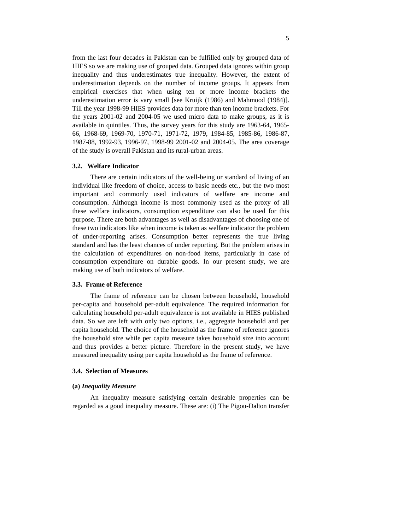from the last four decades in Pakistan can be fulfilled only by grouped data of HIES so we are making use of grouped data. Grouped data ignores within group inequality and thus underestimates true inequality. However, the extent of underestimation depends on the number of income groups. It appears from empirical exercises that when using ten or more income brackets the underestimation error is vary small [see Kruijk (1986) and Mahmood (1984)]. Till the year 1998-99 HIES provides data for more than ten income brackets. For the years 2001-02 and 2004-05 we used micro data to make groups, as it is available in quintiles. Thus, the survey years for this study are 1963-64, 1965- 66, 1968-69, 1969-70, 1970-71, 1971-72, 1979, 1984-85, 1985-86, 1986-87, 1987-88, 1992-93, 1996-97, 1998-99 2001-02 and 2004-05. The area coverage of the study is overall Pakistan and its rural-urban areas.

#### **3.2. Welfare Indicator**

There are certain indicators of the well-being or standard of living of an individual like freedom of choice, access to basic needs etc., but the two most important and commonly used indicators of welfare are income and consumption. Although income is most commonly used as the proxy of all these welfare indicators, consumption expenditure can also be used for this purpose. There are both advantages as well as disadvantages of choosing one of these two indicators like when income is taken as welfare indicator the problem of under-reporting arises. Consumption better represents the true living standard and has the least chances of under reporting. But the problem arises in the calculation of expenditures on non-food items, particularly in case of consumption expenditure on durable goods. In our present study, we are making use of both indicators of welfare.

#### **3.3. Frame of Reference**

The frame of reference can be chosen between household, household per-capita and household per-adult equivalence. The required information for calculating household per-adult equivalence is not available in HIES published data. So we are left with only two options, i.e., aggregate household and per capita household. The choice of the household as the frame of reference ignores the household size while per capita measure takes household size into account and thus provides a better picture. Therefore in the present study, we have measured inequality using per capita household as the frame of reference.

#### **3.4. Selection of Measures**

#### **(a)** *Inequality Measure*

An inequality measure satisfying certain desirable properties can be regarded as a good inequality measure. These are: (i) The Pigou-Dalton transfer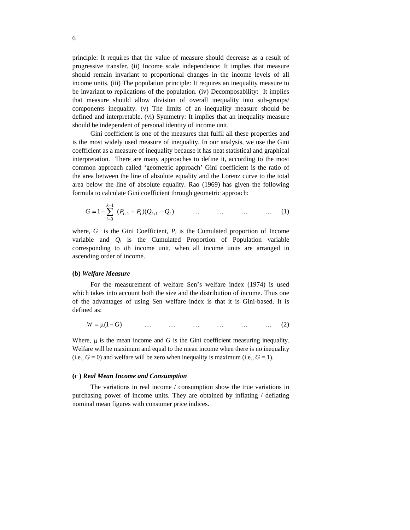principle: It requires that the value of measure should decrease as a resultof progressive transfer. (ii) Income scale independence: It implies that measure should remain invariant to proportional changes in the income levels of all income units. (iii) The population principle: It requires an inequality measure to be invariant to replications of the population. (iv) Decomposability: It implies that measure should allow division of overall inequality into sub-groups/ components inequality. (v) The limits of an inequality measure should be defined and interpretable. (vi) Symmetry: It implies that an inequality measure should be independent of personal identity of income unit.

Gini coefficient is one of the measures that fulfil all these properties and is the most widely used measure of inequality. In our analysis, we use the Gini coefficient as a measure of inequality because it has neat statistical and graphical interpretation. There are many approaches to define it, according to the most common approach called 'geometric approach' Gini coefficient is the ratio of the area between the line of absolute equality and the Lorenz curve to the total area below the line of absolute equality. Rao (1969) has given the following formula to calculate Gini coefficient through geometric approach:

$$
G = 1 - \sum_{i=0}^{k-1} (P_{i+1} + P_i)(Q_{i+1} - Q_i) \qquad \dots \qquad \dots \qquad \dots \qquad \dots \qquad (1)
$$

where,  $G$  is the Gini Coefficient,  $P_i$  is the Cumulated proportion of Income variable and  $Q_i$  is the Cumulated Proportion of Population variable corresponding to *i*th income unit, when all income units are arranged in ascending order of income.

#### **(b)** *Welfare Measure*

For the measurement of welfare Sen's welfare index (1974) is used which takes into account both the size and the distribution of income. Thus one of the advantages of using Sen welfare index is that it is Gini-based. It is defined as:  $\blacksquare$ 

$$
W = \mu(1 - G) \qquad \qquad \dots \qquad \dots \qquad \dots \qquad \dots \qquad \dots \qquad (2)
$$

Where,  $\mu$  is the mean income and *G* is the Gini coefficient measuring inequality. Welfare will be maximum and equal to the mean income when there is no inequality  $(i.e.,  $G = 0$ )$  and welfare will be zero when inequality is maximum (i.e.,  $G = 1$ ).

#### **(c )** *Real Mean Income and Consumption*

The variations in real income / consumption show the true variations in purchasing power of income units. They are obtained by inflating / deflating nominal mean figures with consumer price indices.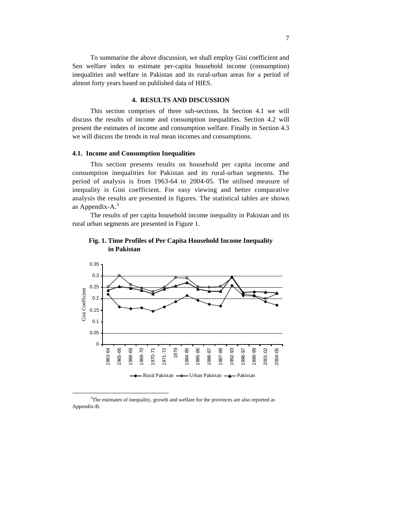To summarise the above discussion, we shall employ Gini coefficient and Sen welfare index to estimate per-capita household income (consumption) inequalities and welfare in Pakistan and its rural-urban areas for a period of almost forty years based on published data of HIES.

#### **4. RESULTS AND DISCUSSION**

This section comprises of three sub-sections. In Section 4.1 we will discuss the results of income and consumption inequalities. Section 4.2 will present the estimates of income and consumption welfare. Finally in Section 4.3 we will discuss the trends in real mean incomes and consumptions.

#### **4.1. Income and Consumption Inequalities**

This section presents results on household per capita income and consumption inequalities for Pakistan and its rural-urban segments. The period of analysis is from 1963-64 to 2004-05. The utilised measure of inequality is Gini coefficient. For easy viewing and better comparative analysis the results are presented in figures. The statistical tables are shown as Appendix-A. $^3$ 

The results of per capita household income inequality in Pakistan and its rural urban segments are presented in Figure 1.



## **Fig. 1. Time Profiles of Per Capita Household Income Inequality in Pakistan**

<sup>&</sup>lt;sup>3</sup>The estimates of inequality, growth and welfare for the provinces are also reported as Appendix-B.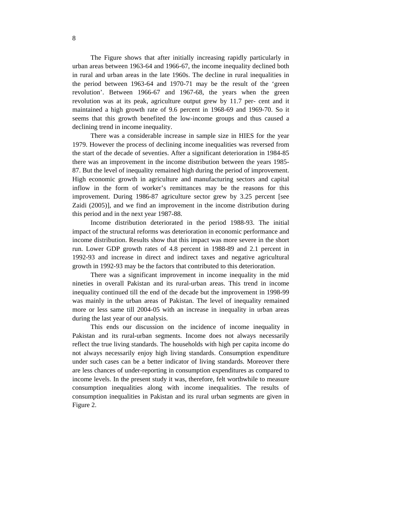The Figure shows that after initially increasing rapidly particularly in urban areas between 1963-64 and 1966-67, the income inequality declined both in rural and urban areas in the late 1960s. The decline in rural inequalities in the period between 1963-64 and 1970-71 may be the result of the 'green revolution'. Between 1966-67 and 1967-68, the years when the green revolution was at its peak, agriculture output grew by 11.7 per- cent and it maintained a high growth rate of 9.6 percent in 1968-69 and 1969-70. So it seems that this growth benefited the low-income groups and thus caused a declining trend in income inequality.

There was a considerable increase in sample size in HIES for the year 1979. However the process of declining income inequalities was reversed from the start of the decade of seventies. After a significant deterioration in 1984-85 there was an improvement in the income distribution between the years 1985- 87. But the level of inequality remained high during the period of improvement. High economic growth in agriculture and manufacturing sectors and capital inflow in the form of worker's remittances may be the reasons for this improvement. During 1986-87 agriculture sector grew by 3.25 percent [see Zaidi (2005)], and we find an improvement in the income distribution during this period and in the next year 1987-88.

Income distribution deteriorated in the period 1988-93. The initial impact of the structural reforms was deterioration in economic performance and income distribution. Results show that this impact was more severe in the short run. Lower GDP growth rates of 4.8 percent in 1988-89 and 2.1 percent in 1992-93 and increase in direct and indirect taxes and negative agricultural growth in 1992-93 may be the factors that contributed to this deterioration.

There was a significant improvement in income inequality in the mid nineties in overall Pakistan and its rural-urban areas. This trend in income inequality continued till the end of the decade but the improvement in 1998-99 was mainly in the urban areas of Pakistan. The level of inequality remained more or less same till 2004-05 with an increase in inequality in urban areas during the last year of our analysis.

This ends our discussion on the incidence of income inequality in Pakistan and its rural-urban segments. Income does not always necessarily reflect the true living standards. The households with high per capita income do not always necessarily enjoy high living standards. Consumption expenditure under such cases can be a better indicator of living standards. Moreover there are less chances of under-reporting in consumption expenditures as compared to income levels. In the present study it was, therefore, felt worthwhile to measure consumption inequalities along with income inequalities. The results of consumption inequalities in Pakistan and its rural urban segments are given in Figure 2.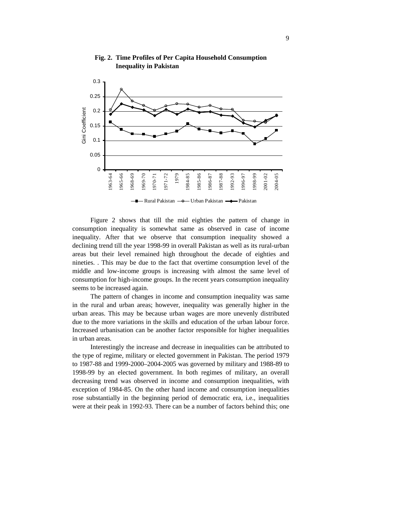

## **Fig. 2. Time Profiles of Per Capita Household Consumption Inequality in Pakistan**

Figure 2 shows that till the mid eighties the pattern of change in consumption inequality is somewhat same as observed in case of income inequality. After that we observe that consumption inequality showed a declining trend till the year 1998-99 in overall Pakistan as well as its rural-urban areas but their level remained high throughout the decade of eighties and nineties. . This may be due to the fact that overtime consumption level of the middle and low-income groups is increasing with almost the same level of consumption for high-income groups. In the recent years consumption inequality seems to be increased again.

The pattern of changes in income and consumption inequality wassame in the rural and urban areas; however, inequality was generally higher in the urban areas. This may be because urban wages are more unevenly distributed due to the more variations in the skills and education of the urban labour force. Increased urbanisation can be another factor responsible for higher inequalities in urban areas.

Interestingly the increase and decrease in inequalities can be attributed to the type of regime, military or elected government in Pakistan. The period 1979 to 1987-88 and 1999-2000–2004-2005 was governed by military and 1988-89 to 1998-99 by an elected government. In both regimes of military, an overall decreasing trend was observed in income and consumption inequalities, with exception of 1984-85. On the other hand income and consumption inequalities rose substantially in the beginning period of democratic era, i.e., inequalities were at their peak in 1992-93. There can be a number of factors behind this; one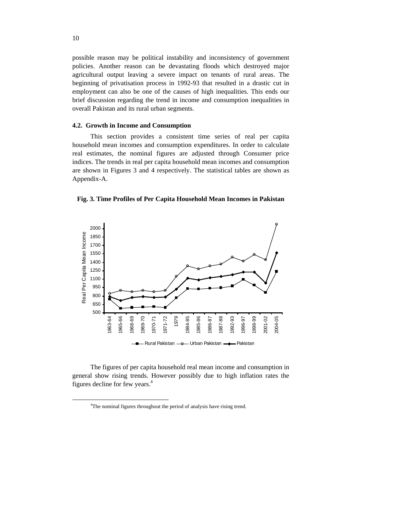possible reason may be political instability and inconsistency of government policies. Another reason can be devastating floods which destroyed major agricultural output leaving a severe impact on tenants of rural areas. The beginning of privatisation process in 1992-93 that resulted in a drastic cut in employment can also be one of the causes of high inequalities. This ends our brief discussion regarding the trend in income and consumption inequalities in overall Pakistan and its rural urban segments.

#### **4.2. Growth in Income and Consumption**

This section provides a consistent time series of real per capita household mean incomes and consumption expenditures. In order to calculate real estimates, the nominal figures are adjusted through Consumer price indices. The trends in real per capita household mean incomes and consumption are shown in Figures 3 and 4 respectively. The statistical tables are shown as Appendix-A.

**Fig. 3. Time Profiles of Per Capita Household Mean Incomes in Pakistan**



The figures of per capita household real mean income and consumption in general show rising trends. However possibly due to high inflation rates the figures decline for few years. $4$ 

<sup>&</sup>lt;sup>4</sup>The nominal figures throughout the period of analysis have rising trend.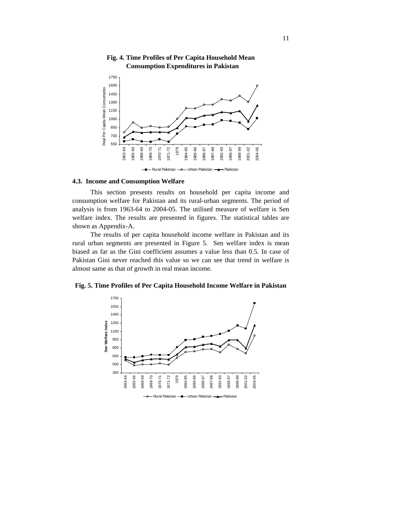

## **Fig. 4. Time Profiles of Per Capita Household Mean Consumption Expenditures in Pakistan**

#### **4.3. Income and Consumption Welfare**

This section presents results on household per capita income and consumption welfare for Pakistan and its rural-urban segments. The period of analysis is from 1963-64 to 2004-05. The utilised measure of welfare is Sen welfare index. The results are presented in figures. The statistical tables are shown as Appendix-A.

The results of per capita household income welfare in Pakistan and its rural urban segments are presented in Figure 5. Sen welfare index is mean biased as far as the Gini coefficient assumes a value less than 0.5. In case of Pakistan Gini never reached this value so we can see that trend in welfare is almost same as that of growth in real mean income.

**Fig. 5. Time Profiles of Per Capita Household Income Welfare in Pakistan**

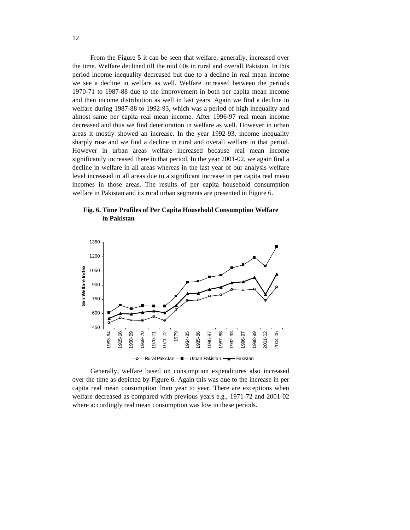From the Figure 5 it can be seen that welfare, generally, increased over the time. Welfare declined till the mid 60s in rural and overall Pakistan. In this period income inequality decreased but due to a decline in real mean income we see a decline in welfare as well. Welfare increased between the periods 1970-71 to 1987-88 due to the improvement in both per capita mean income and then income distribution as well in last years. Again we find a decline in welfare during 1987-88 to 1992-93, which was a period of high inequality and almost same per capita real mean income. After 1996-97 real mean income decreased and thus we find deterioration in welfare as well. However in urban areas it mostly showed an increase. In the year 1992-93, income inequality sharply rose and we find a decline in rural and overall welfare in that period. However in urban areas welfare increased because real mean income significantly increased there in that period. In the year 2001-02, we again find a decline in welfare in all areas whereas in the last year of our analysis welfare level increased in all areas due to a significant increase in per capita real mean incomes in those areas. The results of per capita household consumption welfare in Pakistan and its rural urban segments are presented in Figure 6.





Generally, welfare based on consumption expenditures also increased over the time as depicted by Figure 6. Again this was due to the increase in per capita real mean consumption from year to year. There are exceptions when welfare decreased as compared with previous years e.g., 1971-72 and 2001-02 where accordingly real mean consumption was low in these periods.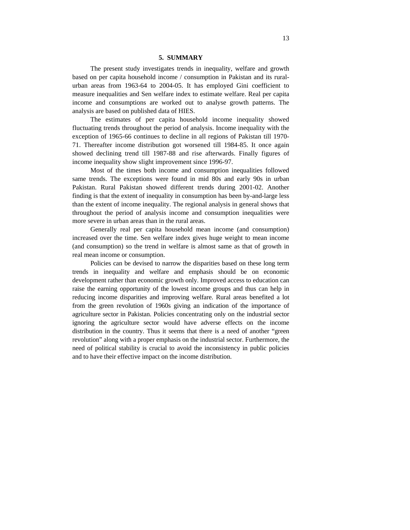#### **5. SUMMARY**

The present study investigates trends in inequality, welfare and growth based on per capita household income / consumption in Pakistan and its rural urban areas from 1963-64 to 2004-05. It has employed Gini coefficient to measure inequalities and Sen welfare index to estimate welfare. Real per capita income and consumptions are worked out to analyse growth patterns. The analysis are based on published data of HIES.

The estimates of per capita household income inequality showed fluctuating trends throughout the period of analysis. Income inequality with the exception of 1965-66 continues to decline in all regions of Pakistan till 1970-71. Thereafter income distribution got worsened till 1984-85. It once again showed declining trend till 1987-88 and rise afterwards. Finally figures of income inequality show slight improvement since 1996-97.

Most of the times both income and consumption inequalities followed same trends. The exceptions were found in mid 80s and early 90s in urban Pakistan. Rural Pakistan showed different trends during 2001-02. Another finding is that the extent of inequality in consumption has been by-and-large less than the extent of income inequality. The regional analysis in general shows that throughout the period of analysis income and consumption inequalities were more severe in urban areas than in the rural areas.

Generally real per capita household mean income (and consumption) increased over the time. Sen welfare index gives huge weight to mean income (and consumption) so the trend in welfare is almost same as that of growth in real mean income or consumption.

Policies can be devised to narrow the disparities based on these long term trends in inequality and welfare and emphasis should be on economic development rather than economic growth only. Improved access to education can raise the earning opportunity of the lowest income groups and thus can help in reducing income disparities and improving welfare. Rural areas benefited a lot from the green revolution of 1960s giving an indication of the importance of agriculture sector in Pakistan. Policies concentrating only on the industrial sector ignoring the agriculture sector would have adverse effects on the income distribution in the country. Thus it seems that there is a need of another "green revolution" along with a proper emphasis on the industrial sector. Furthermore, the need of political stability is crucial to avoid the inconsistency in public policies and to have their effective impact on the income distribution.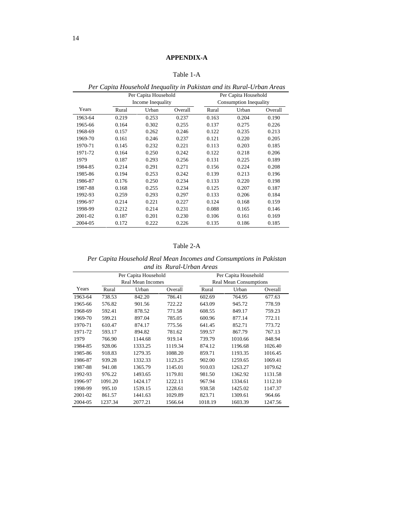|         |       |                      |         |       | Ter expansional inequality at I and and and an I can be to an III can |         |
|---------|-------|----------------------|---------|-------|-----------------------------------------------------------------------|---------|
|         |       | Per Capita Household |         |       | Per Capita Household                                                  |         |
|         |       | Income Inequality    |         |       | Consumption Inequality                                                |         |
| Years   | Rural | Urban                | Overall | Rural | Urban                                                                 | Overall |
| 1963-64 | 0.219 | 0.253                | 0.237   | 0.163 | 0.204                                                                 | 0.190   |
| 1965-66 | 0.164 | 0.302                | 0.255   | 0.137 | 0.275                                                                 | 0.226   |
| 1968-69 | 0.157 | 0.262                | 0.246   | 0.122 | 0.235                                                                 | 0.213   |
| 1969-70 | 0.161 | 0.246                | 0.237   | 0.121 | 0.220                                                                 | 0.205   |
| 1970-71 | 0.145 | 0.232                | 0.221   | 0.113 | 0.203                                                                 | 0.185   |
| 1971-72 | 0.164 | 0.250                | 0.242   | 0.122 | 0.218                                                                 | 0.206   |
| 1979    | 0.187 | 0.293                | 0.256   | 0.131 | 0.225                                                                 | 0.189   |
| 1984-85 | 0.214 | 0.291                | 0.271   | 0.156 | 0.224                                                                 | 0.208   |
|         |       |                      |         |       |                                                                       |         |
| 1985-86 | 0.194 | 0.253                | 0.242   | 0.139 | 0.213                                                                 | 0.196   |
| 1986-87 | 0.176 | 0.250                | 0.234   | 0.133 | 0.220                                                                 | 0.198   |
| 1987-88 | 0.168 | 0.255                | 0.234   | 0.125 | 0.207                                                                 | 0.187   |
| 1992-93 | 0.259 | 0.293                | 0.297   | 0.133 | 0.206                                                                 | 0.184   |
| 1996-97 | 0.214 | 0.221                | 0.227   | 0.124 | 0.168                                                                 | 0.159   |
| 1998-99 | 0.212 | 0.214                | 0.231   | 0.088 | 0.165                                                                 | 0.146   |
| 2001-02 | 0.187 | 0.201                | 0.230   | 0.106 | 0.161                                                                 | 0.169   |
| 2004-05 | 0.172 | 0.222                | 0.226   | 0.135 | 0.186                                                                 | 0.185   |

| $\mathbf{r}$<br>T<br>a meauality in Pakistan and in<br>$D_{\alpha\nu}$<br>Capita Household Inc.<br>'rban Areas<br><sup>-</sup> <i>its Rurai</i><br>,,,,,, ana |  |
|---------------------------------------------------------------------------------------------------------------------------------------------------------------|--|
|                                                                                                                                                               |  |

#### Table 2-A

*Per Capita Household Real Mean Incomes and Consumptions in Pakistan and its Rural-Urban Areas*

|                 |         | Per Capita Household<br>Real Mean Incomes |         |         | <b>Real Mean Consumptions</b> | Per Capita Household |
|-----------------|---------|-------------------------------------------|---------|---------|-------------------------------|----------------------|
| Years           | Rural   | Urban                                     | Overall | Rural   | Urban                         | Overall              |
| 1963-64         | 738.53  | 842.20                                    | 786.41  | 602.69  | 764.95                        | 677.63               |
| 1965-66 576.82  |         | 901.56                                    | 722.22  | 643.09  | 945.72                        | 778.59               |
| 1968-69 592.41  |         | 878.52                                    | 771.58  | 608.55  | 849.17                        | 759.23               |
| 1969-70         | 599.21  | 897.04                                    | 785.05  | 600.96  | 877.14                        | 772.11               |
| 1970-71         | 610.47  | 874.17                                    | 775.56  | 641.45  | 852.71                        | 773.72               |
| 1971-72         | 593.17  | 894.82                                    | 781.62  | 599.57  | 867.79                        | 767.13               |
| 1979            | 766.90  | 1144.68                                   | 919.14  | 739.79  | 1010.66                       | 848.94               |
| 1984-85         | 928.06  | 1333.25                                   | 1119.34 | 874.12  | 1196.68                       | 1026.40              |
| 1985-86         | 918.83  | 1279.35                                   | 1088.20 | 859.71  | 1193.35                       | 1016.45              |
| 1986-87         | 939.28  | 1332.33                                   | 1123.25 | 902.00  | 1259.65                       | 1069.41              |
| 1987-88         | 941.08  | 1365.79                                   | 1145.01 | 910.03  | 1263.27                       | 1079.62              |
| 1992-93         | 976.22  | 1493.65                                   | 1179.81 | 981.50  | 1362.92                       | 1131.58              |
| 1996-97 1091.20 |         | 1424.17                                   | 1222.11 | 967.94  | 1334.61                       | 1112.10              |
| 1998-99         | 995.10  | 1539.15                                   | 1228.61 | 938.58  | 1425.02                       | 1147.37              |
| 2001-02 861.57  |         | 1441.63                                   | 1029.89 | 823.71  | 1309.61                       | 964.66               |
| 2004-05         | 1237.34 | 2077.21                                   | 1566.64 | 1018.19 | 1603.39                       | 1247.56              |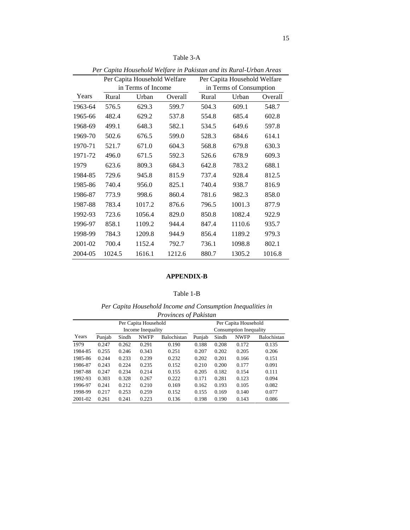|         |        |                                                    |        | Per Capita Household Welfare in Pakistan and its Rural-Urban Areas |                                                         |         |
|---------|--------|----------------------------------------------------|--------|--------------------------------------------------------------------|---------------------------------------------------------|---------|
|         |        | Per Capita Household Welfare<br>in Terms of Income |        |                                                                    | Per Capita Household Welfare<br>in Terms of Consumption |         |
| Years   | Rural  | Urban                                              | Overal | Rural                                                              | Urban                                                   | Overall |
| 1963-64 | 576.5  | 629.3                                              | 599.7  | 504.3                                                              | 609.1                                                   | 548.7   |
| 1965-66 | 482.4  | 629.2                                              | 537.8  | 554.8                                                              | 685.4                                                   | 602.8   |
| 1968-69 | 499.1  | 648.3                                              | 582.1  | 534.5                                                              | 649.6                                                   | 597.8   |
| 1969-70 | 502.6  | 676.5                                              | 599.0  | 528.3                                                              | 684.6                                                   | 614.1   |
| 1970-71 | 521.7  | 671.0                                              | 604.3  | 568.8                                                              | 679.8                                                   | 630.3   |
| 1971-72 | 496.0  | 671.5                                              | 592.3  | 526.6                                                              | 678.9                                                   | 609.3   |
| 1979    | 623.6  | 809.3                                              | 684.3  | 642.8                                                              | 783.2                                                   | 688.1   |
| 1984-85 | 729.6  | 945.8                                              | 815.9  | 737.4                                                              | 928.4                                                   | 812.5   |
| 1985-86 | 740.4  | 956.0                                              | 825.1  | 740.4                                                              | 938.7                                                   | 816.9   |
| 1986-87 | 773.9  | 998.6                                              | 860.4  | 781.6                                                              | 982.3                                                   | 858.0   |
| 1987-88 | 783.4  | 1017.2                                             | 876.6  | 796.5                                                              | 1001.3                                                  | 877.9   |
| 1992-93 | 723.6  | 1056.4                                             | 829.0  | 850.8                                                              | 1082.4                                                  | 922.9   |
| 1996-97 | 858.1  | 1109.2                                             | 944.4  | 847.4                                                              | 1110.6                                                  | 935.7   |
| 1998-99 | 784.3  | 1209.8                                             | 944.9  | 856.4                                                              | 1189.2                                                  | 979.3   |
| 2001-02 | 700.4  | 1152.4                                             | 792.7  | 736.1                                                              | 1098.8                                                  | 802.1   |
| 2004-05 | 1024.5 | 1616.1                                             | 1212.6 | 880.7                                                              | 1305.2                                                  | 1016.8  |

Table 3-A

### **APPENDIX-B**

#### Table 1-B

*Per Capita Household Income and Consumption Inequalities in Provinces of Pakistan*

|      |                       |                       | Per Capita Household |             |        |             | Per Capita Household   |                  |
|------|-----------------------|-----------------------|----------------------|-------------|--------|-------------|------------------------|------------------|
|      |                       |                       | Income Inequality    |             |        |             | Consumption Inequality |                  |
|      | Years Punjab          |                       | Sindh NWFP           | Balochistan | Punjab | Sindh       |                        | NWFP Balochistan |
| 1979 | 0.247                 | 0.262                 | 0.291                | J.190       | .188   | 0.208       | 0.172                  | 0.135            |
|      |                       | 1984-85  0.255  0.246 | 0.343                | 0.251       | 0.207  | 0.202       | 0.205                  | 0.206            |
|      | 1985-86 0.244         | 0.233                 | 0.239                | 0.232       | 0.202  | 0.201       | 0.166                  | 0.151            |
|      | 1986-87 0.243         | 0.224                 | 0.235                | 0.152       | 0.210  | 0.200       | 0.177                  | 0.091            |
|      |                       | 1987-88  0.247  0.234 | 0.214                | 0.155       | 0.205  | 0.182 0.154 |                        | 0.111            |
|      |                       | 1992-93 0.303 0.328   | 0.267                | 0.222       |        | 0.171 0.281 | 0.123                  | 0.094            |
|      | 1996-97  0.241  0.212 |                       | 0.210                | 0.169       | 0.162  | 0.193       | 0.105                  | 0.082            |
|      |                       | 1998-99 0.217 0.253   | 0.259                | 0.152       | 0.155  | 0.169       | 0.140                  | 0.077            |
|      |                       | 2001-02 0.261 0.241   | 0.223                | 0.136       | 0.198  | 0.190       | 0.143                  | 0.086            |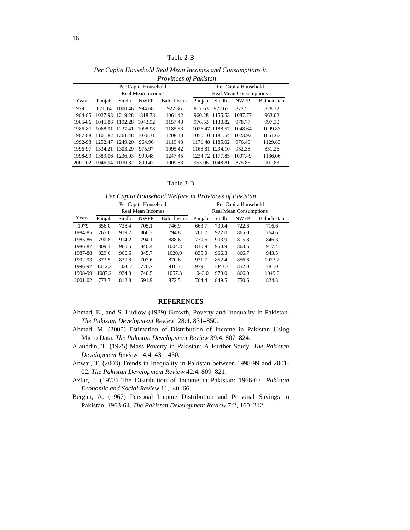|      |              |       |                                 | The contract of the annual term |        |       |                               |                                 |
|------|--------------|-------|---------------------------------|---------------------------------|--------|-------|-------------------------------|---------------------------------|
|      |              |       | Per Capita Household            |                                 |        |       | Per Capita Household          |                                 |
|      |              |       | Real Mean Incomes               |                                 |        |       | <b>Real Mean Consumptions</b> |                                 |
|      | Years Punjab | Sindh | NWFP                            | Balochistan Punjab              |        | Sindh |                               | NWFP Balochistan                |
| 1979 |              |       | 871.14 1000.46 994.68           | 922.36                          | 817.63 |       | 922.63 872.56                 | 828.32                          |
|      |              |       | 1984-85 1027.93 1219.28 1318.78 | 1061.42                         |        |       | 960.28 1155.53 1087.77        | 963.02                          |
|      |              |       | 1985-86 1045.86 1192.28 1043.92 | 1157.43                         |        |       | 976.53 1130.82 978.77         | 997.30                          |
|      |              |       | 1986-87 1068.91 1237.41 1098.98 | 1185.53                         |        |       | 1026.47 1188.57 1048.64       | 1009.83                         |
|      |              |       | 1987-88 1101.82 1261.48 1076.31 | 1208.10                         |        |       |                               | 1050.10 1181.54 1023.92 1061.63 |
|      |              |       | 1992-93 1252.47 1249.20 964.96  | 119.43                          |        |       | 1171.48 1185.02 976.40        | 1129.83                         |
|      |              |       | 1996-97 1334.21 1303.29 975.97  | 1095.42                         |        |       | 1168.81 1294.10 952.38        | 851.26                          |
|      |              |       | 1998-99 1389.06 1236.93 999.48  | 1247.45                         |        |       | 1234.72 1177.85 1007.49       | 1136.06                         |
|      |              |       | 2001-02 1046.94 1070.82 890.47  | 1009.83                         |        |       | 953.06 1048.81 875.85         | 901.83                          |
|      |              |       |                                 |                                 |        |       |                               |                                 |

*Per Capita Household Real Mean Incomes and Consumptions in Provinces of Pakistan*

Table 3-B

|                             |       |                                           | Per Capita Household Welfare in Provinces of Pakistan |       |                               |                      |                  |
|-----------------------------|-------|-------------------------------------------|-------------------------------------------------------|-------|-------------------------------|----------------------|------------------|
|                             |       | Per Capita Household<br>Real Mean Incomes |                                                       |       | <b>Real Mean Consumptions</b> | Per Capita Household |                  |
| Years Punjab                | Sindh | NWFP                                      | Balochistan Punjab                                    |       | Sindh                         |                      | NWFP Balochistan |
| 1979 656.0                  | 738.4 | 705.1                                     | 746.9                                                 | 663.7 | 7.50.4                        | 722.6                | 716.6            |
| 1984-85 765.6 919.7         |       | 866.3                                     | 794.8                                                 | 761.7 | 922.0                         | 865.0                | 764.6            |
| 1985-86 790.8 914.2 794.1   |       |                                           | 888.6                                                 | 779.6 | 903.9 815.8                   |                      | 846.3            |
| 1986-87 809.1 960.5         |       | 840.4                                     | 1004.8                                                | 810.9 | 950.9                         | 863.5                | 917.4            |
| 1987-88 829.6 966.6         |       | 845.7                                     | 1020.9                                                | 835.0 | 966.3                         | 866.7                | 943.5            |
| 1992-93 873.5 839.8 707.6   |       |                                           | 870.6                                                 | 971.7 | 852.4 856.6                   |                      | 1023.2           |
| 1996-97 1012.2 1026.7 770.7 |       |                                           | 910.7                                                 |       | 979.1 1043.7 852.0            |                      | 781.0            |

#### **REFERENCES**

1998-99 1087.2 924.0 740.5 1057.3 1043.0 979.0 866.0 1049.0 2001-02 773.7 812.8 691.9 872.5 764.4 849.5 750.6 824.3

- Ahmad, E., and S. Ludlow (1989) Growth, Poverty and Inequality in Pakistan. *The Pakistan Development Review* 28:4, 831–850.
- Ahmad, M. (2000) Estimation of Distribution of Income in Pakistan Using Micro Data. *The Pakistan Development Review* 39:4, 807–824.
- Alauddin, T. (1975) Mass Poverty in Pakistan: A Further Study. *The Pakistan Development Review* 14:4, 431–450.

Anwar, T. (2003) Trends in Inequality in Pakistan between 1998-99 and 2001- 02. *The Pakistan Development Review* 42:4, 809–821.

Azfar, J. (1973) The Distribution of Income in Pakistan: 1966-67. *Pakistan Economic and Social Review* 11, 40–66.

Bergan, A. (1967) Personal Income Distribution and Personal Savings in Pakistan, 1963-64. *The Pakistan Development Review* 7:2, 160–212.